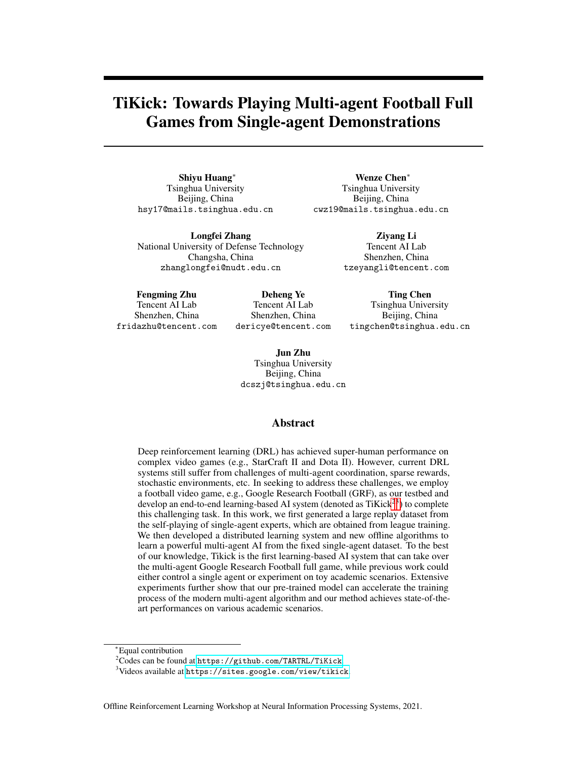# TiKick: Towards Playing Multi-agent Football Full Games from Single-agent Demonstrations

Shiyu Huang<sup>∗</sup> Tsinghua University Beijing, China hsy17@mails.tsinghua.edu.cn

Longfei Zhang National University of Defense Technology Changsha, China zhanglongfei@nudt.edu.cn

Wenze Chen<sup>∗</sup> Tsinghua University Beijing, China cwz19@mails.tsinghua.edu.cn

> Ziyang Li Tencent AI Lab Shenzhen, China tzeyangli@tencent.com

Fengming Zhu Tencent AI Lab Shenzhen, China fridazhu@tencent.com

Deheng Ye Tencent AI Lab Shenzhen, China dericye@tencent.com

Tsinghua University Beijing, China tingchen@tsinghua.edu.cn

Ting Chen

Jun Zhu Tsinghua University Beijing, China dcszj@tsinghua.edu.cn

## Abstract

Deep reinforcement learning (DRL) has achieved super-human performance on complex video games (e.g., StarCraft II and Dota II). However, current DRL systems still suffer from challenges of multi-agent coordination, sparse rewards, stochastic environments, etc. In seeking to address these challenges, we employ a football video game, e.g., Google Research Football (GRF), as our testbed and develop an end-to-end learning-based AI system (denoted as  $TiKick<sup>23</sup>$  $TiKick<sup>23</sup>$  $TiKick<sup>23</sup>$  $TiKick<sup>23</sup>$ ) to complete this challenging task. In this work, we first generated a large replay dataset from the self-playing of single-agent experts, which are obtained from league training. We then developed a distributed learning system and new offline algorithms to learn a powerful multi-agent AI from the fixed single-agent dataset. To the best of our knowledge, Tikick is the first learning-based AI system that can take over the multi-agent Google Research Football full game, while previous work could either control a single agent or experiment on toy academic scenarios. Extensive experiments further show that our pre-trained model can accelerate the training process of the modern multi-agent algorithm and our method achieves state-of-theart performances on various academic scenarios.

Offline Reinforcement Learning Workshop at Neural Information Processing Systems, 2021.

<sup>∗</sup>Equal contribution

<span id="page-0-0"></span><sup>2</sup>Codes can be found at <https://github.com/TARTRL/TiKick>.

<span id="page-0-1"></span> $3$ Videos available at <https://sites.google.com/view/tikick>.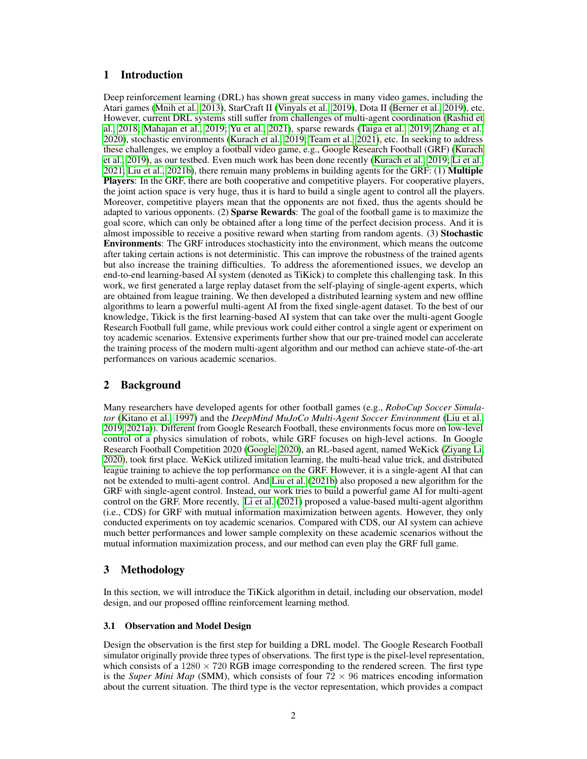## 1 Introduction

Deep reinforcement learning (DRL) has shown great success in many video games, including the Atari games [\(Mnih et al., 2013\)](#page-7-0), StarCraft II [\(Vinyals et al., 2019\)](#page-8-0), Dota II [\(Berner et al., 2019\)](#page-6-0), etc. However, current DRL systems still suffer from challenges of multi-agent coordination [\(Rashid et](#page-7-1) [al., 2018;](#page-7-1) [Mahajan et al., 2019;](#page-7-2) [Yu et al., 2021\)](#page-8-1), sparse rewards [\(Taiga et al., 2019;](#page-8-2) [Zhang et al.,](#page-8-3) [2020\)](#page-8-3), stochastic environments [\(Kurach et al., 2019;](#page-7-3) [Team et al., 2021\)](#page-8-4), etc. In seeking to address these challenges, we employ a football video game, e.g., Google Research Football (GRF) [\(Kurach](#page-7-3) [et al., 2019\)](#page-7-3), as our testbed. Even much work has been done recently [\(Kurach et al., 2019;](#page-7-3) [Li et al.,](#page-7-4) [2021;](#page-7-4) [Liu et al., 2021b\)](#page-7-5), there remain many problems in building agents for the GRF: (1) Multiple Players: In the GRF, there are both cooperative and competitive players. For cooperative players, the joint action space is very huge, thus it is hard to build a single agent to control all the players. Moreover, competitive players mean that the opponents are not fixed, thus the agents should be adapted to various opponents. (2) **Sparse Rewards**: The goal of the football game is to maximize the goal score, which can only be obtained after a long time of the perfect decision process. And it is almost impossible to receive a positive reward when starting from random agents. (3) Stochastic Environments: The GRF introduces stochasticity into the environment, which means the outcome after taking certain actions is not deterministic. This can improve the robustness of the trained agents but also increase the training difficulties. To address the aforementioned issues, we develop an end-to-end learning-based AI system (denoted as TiKick) to complete this challenging task. In this work, we first generated a large replay dataset from the self-playing of single-agent experts, which are obtained from league training. We then developed a distributed learning system and new offline algorithms to learn a powerful multi-agent AI from the fixed single-agent dataset. To the best of our knowledge, Tikick is the first learning-based AI system that can take over the multi-agent Google Research Football full game, while previous work could either control a single agent or experiment on toy academic scenarios. Extensive experiments further show that our pre-trained model can accelerate the training process of the modern multi-agent algorithm and our method can achieve state-of-the-art performances on various academic scenarios.

# 2 Background

Many researchers have developed agents for other football games (e.g., *RoboCup Soccer Simulator* [\(Kitano et al., 1997\)](#page-7-6) and the *DeepMind MuJoCo Multi-Agent Soccer Environment* [\(Liu et al.,](#page-7-7) [2019,](#page-7-7) [2021a\)](#page-7-8)). Different from Google Research Football, these environments focus more on low-level control of a physics simulation of robots, while GRF focuses on high-level actions. In Google Research Football Competition 2020 [\(Google, 2020\)](#page-6-1), an RL-based agent, named WeKick [\(Ziyang Li,](#page-8-5) [2020\)](#page-8-5), took first place. WeKick utilized imitation learning, the multi-head value trick, and distributed league training to achieve the top performance on the GRF. However, it is a single-agent AI that can not be extended to multi-agent control. And [Liu et al.](#page-7-5) [\(2021b\)](#page-7-5) also proposed a new algorithm for the GRF with single-agent control. Instead, our work tries to build a powerful game AI for multi-agent control on the GRF. More recently, [Li et al.](#page-7-4) [\(2021\)](#page-7-4) proposed a value-based multi-agent algorithm (i.e., CDS) for GRF with mutual information maximization between agents. However, they only conducted experiments on toy academic scenarios. Compared with CDS, our AI system can achieve much better performances and lower sample complexity on these academic scenarios without the mutual information maximization process, and our method can even play the GRF full game.

# 3 Methodology

In this section, we will introduce the TiKick algorithm in detail, including our observation, model design, and our proposed offline reinforcement learning method.

## <span id="page-1-0"></span>3.1 Observation and Model Design

Design the observation is the first step for building a DRL model. The Google Research Football simulator originally provide three types of observations. The first type is the pixel-level representation, which consists of a  $1280 \times 720$  RGB image corresponding to the rendered screen. The first type is the *Super Mini Map* (SMM), which consists of four  $72 \times 96$  matrices encoding information about the current situation. The third type is the vector representation, which provides a compact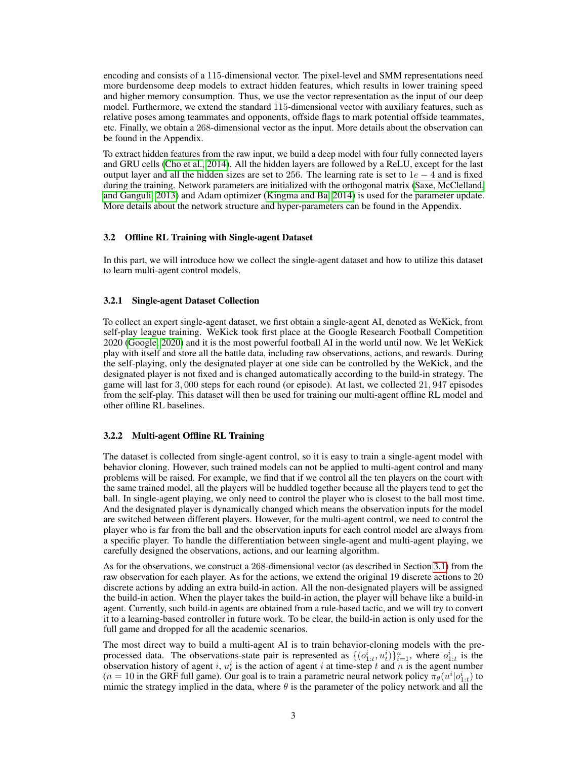encoding and consists of a 115-dimensional vector. The pixel-level and SMM representations need more burdensome deep models to extract hidden features, which results in lower training speed and higher memory consumption. Thus, we use the vector representation as the input of our deep model. Furthermore, we extend the standard 115-dimensional vector with auxiliary features, such as relative poses among teammates and opponents, offside flags to mark potential offside teammates, etc. Finally, we obtain a 268-dimensional vector as the input. More details about the observation can be found in the Appendix.

To extract hidden features from the raw input, we build a deep model with four fully connected layers and GRU cells [\(Cho et al., 2014\)](#page-6-2). All the hidden layers are followed by a ReLU, except for the last output layer and all the hidden sizes are set to 256. The learning rate is set to  $1e - 4$  and is fixed during the training. Network parameters are initialized with the orthogonal matrix [\(Saxe, McClelland,](#page-7-9) [and Ganguli, 2013\)](#page-7-9) and Adam optimizer [\(Kingma and Ba, 2014\)](#page-7-10) is used for the parameter update. More details about the network structure and hyper-parameters can be found in the Appendix.

#### 3.2 Offline RL Training with Single-agent Dataset

In this part, we will introduce how we collect the single-agent dataset and how to utilize this dataset to learn multi-agent control models.

#### 3.2.1 Single-agent Dataset Collection

To collect an expert single-agent dataset, we first obtain a single-agent AI, denoted as WeKick, from self-play league training. WeKick took first place at the Google Research Football Competition 2020 [\(Google, 2020\)](#page-6-1) and it is the most powerful football AI in the world until now. We let WeKick play with itself and store all the battle data, including raw observations, actions, and rewards. During the self-playing, only the designated player at one side can be controlled by the WeKick, and the designated player is not fixed and is changed automatically according to the build-in strategy. The game will last for 3, 000 steps for each round (or episode). At last, we collected 21, 947 episodes from the self-play. This dataset will then be used for training our multi-agent offline RL model and other offline RL baselines.

#### <span id="page-2-0"></span>3.2.2 Multi-agent Offline RL Training

The dataset is collected from single-agent control, so it is easy to train a single-agent model with behavior cloning. However, such trained models can not be applied to multi-agent control and many problems will be raised. For example, we find that if we control all the ten players on the court with the same trained model, all the players will be huddled together because all the players tend to get the ball. In single-agent playing, we only need to control the player who is closest to the ball most time. And the designated player is dynamically changed which means the observation inputs for the model are switched between different players. However, for the multi-agent control, we need to control the player who is far from the ball and the observation inputs for each control model are always from a specific player. To handle the differentiation between single-agent and multi-agent playing, we carefully designed the observations, actions, and our learning algorithm.

As for the observations, we construct a 268-dimensional vector (as described in Section [3.1\)](#page-1-0) from the raw observation for each player. As for the actions, we extend the original 19 discrete actions to 20 discrete actions by adding an extra build-in action. All the non-designated players will be assigned the build-in action. When the player takes the build-in action, the player will behave like a build-in agent. Currently, such build-in agents are obtained from a rule-based tactic, and we will try to convert it to a learning-based controller in future work. To be clear, the build-in action is only used for the full game and dropped for all the academic scenarios.

The most direct way to build a multi-agent AI is to train behavior-cloning models with the preprocessed data. The observations-state pair is represented as  $\{(o_{1:t}^i, u_t^i)\}_{i=1}^n$ , where  $o_{1:t}^i$  is the observation history of agent i,  $u_t^i$  is the action of agent i at time-step t and n is the agent number  $(n = 10$  in the GRF full game). Our goal is to train a parametric neural network policy  $\pi_{\theta}(u^{i}|o_{1:t}^{i})$  to mimic the strategy implied in the data, where  $\theta$  is the parameter of the policy network and all the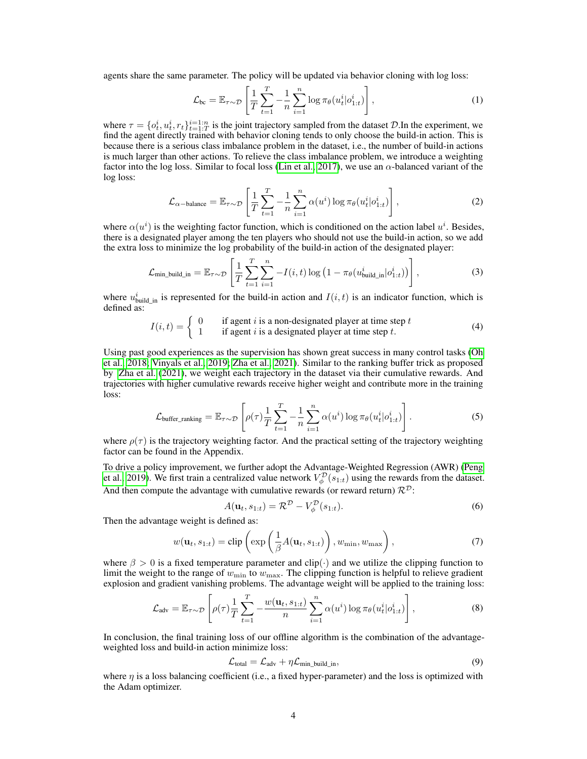agents share the same parameter. The policy will be updated via behavior cloning with log loss:

<span id="page-3-0"></span>
$$
\mathcal{L}_{bc} = \mathbb{E}_{\tau \sim \mathcal{D}} \left[ \frac{1}{T} \sum_{t=1}^{T} -\frac{1}{n} \sum_{i=1}^{n} \log \pi_{\theta}(u_t^i | o_{1:t}^i) \right],
$$
\n(1)

where  $\tau = \{o_t^i, u_t^i, r_t\}_{t=1:T}^{i=1:n}$  is the joint trajectory sampled from the dataset D.In the experiment, we find the agent directly trained with behavior cloning tends to only choose the build-in action. This is because there is a serious class imbalance problem in the dataset, i.e., the number of build-in actions is much larger than other actions. To relieve the class imbalance problem, we introduce a weighting factor into the log loss. Similar to focal loss [\(Lin et al., 2017\)](#page-7-11), we use an  $\alpha$ -balanced variant of the log loss:

<span id="page-3-1"></span>
$$
\mathcal{L}_{\alpha-\text{balance}} = \mathbb{E}_{\tau \sim \mathcal{D}} \left[ \frac{1}{T} \sum_{t=1}^{T} -\frac{1}{n} \sum_{i=1}^{n} \alpha(u^{i}) \log \pi_{\theta}(u_{t}^{i} | o_{1:t}^{i}) \right],
$$
\n(2)

where  $\alpha(u^i)$  is the weighting factor function, which is conditioned on the action label  $u^i$ . Besides, there is a designated player among the ten players who should not use the build-in action, so we add the extra loss to minimize the log probability of the build-in action of the designated player:

<span id="page-3-2"></span>
$$
\mathcal{L}_{\text{min\_build\_in}} = \mathbb{E}_{\tau \sim \mathcal{D}} \left[ \frac{1}{T} \sum_{t=1}^{T} \sum_{i=1}^{n} -I(i, t) \log \left( 1 - \pi_{\theta}(u_{\text{build\_in}}^{i} | o_{1:t}^{i}) \right) \right],
$$
\n(3)

where  $u_{\text{build\_in}}^i$  is represented for the build-in action and  $I(i, t)$  is an indicator function, which is defined as:

$$
I(i,t) = \begin{cases} 0 & \text{if agent } i \text{ is a non-designed player at time step } t \\ 1 & \text{if agent } i \text{ is a designated player at time step } t. \end{cases}
$$
(4)

Using past good experiences as the supervision has shown great success in many control tasks [\(Oh](#page-7-12) [et al., 2018;](#page-7-12) [Vinyals et al., 2019;](#page-8-0) [Zha et al., 2021\)](#page-8-6). Similar to the ranking buffer trick as proposed by [Zha et al.](#page-8-6) [\(2021\)](#page-8-6), we weight each trajectory in the dataset via their cumulative rewards. And trajectories with higher cumulative rewards receive higher weight and contribute more in the training loss:

<span id="page-3-3"></span>
$$
\mathcal{L}_{\text{buffer\_ranking}} = \mathbb{E}_{\tau \sim \mathcal{D}} \left[ \rho(\tau) \frac{1}{T} \sum_{t=1}^{T} -\frac{1}{n} \sum_{i=1}^{n} \alpha(u^{i}) \log \pi_{\theta}(u_{t}^{i} | o_{1:t}^{i}) \right].
$$
\n(5)

where  $\rho(\tau)$  is the trajectory weighting factor. And the practical setting of the trajectory weighting factor can be found in the Appendix.

To drive a policy improvement, we further adopt the Advantage-Weighted Regression (AWR) [\(Peng](#page-7-13) [et al., 2019\)](#page-7-13). We first train a centralized value network  $V^{\mathcal{D}}_{\phi}(s_{1:t})$  using the rewards from the dataset. And then compute the advantage with cumulative rewards (or reward return)  $\mathcal{R}^{\mathcal{D}}$ :

$$
A(\mathbf{u}_t, s_{1:t}) = \mathcal{R}^{\mathcal{D}} - V^{\mathcal{D}}_{\phi}(s_{1:t}).
$$
\n
$$
\tag{6}
$$

Then the advantage weight is defined as:

$$
w(\mathbf{u}_t, s_{1:t}) = \text{clip}\left(\exp\left(\frac{1}{\beta}A(\mathbf{u}_t, s_{1:t})\right), w_{\min}, w_{\max}\right),\tag{7}
$$

where  $\beta > 0$  is a fixed temperature parameter and clip( $\cdot$ ) and we utilize the clipping function to limit the weight to the range of  $w_{\text{min}}$  to  $w_{\text{max}}$ . The clipping function is helpful to relieve gradient explosion and gradient vanishing problems. The advantage weight will be applied to the training loss:

$$
\mathcal{L}_{\text{adv}} = \mathbb{E}_{\tau \sim \mathcal{D}} \left[ \rho(\tau) \frac{1}{T} \sum_{t=1}^{T} -\frac{w(\mathbf{u}_t, s_{1:t})}{n} \sum_{i=1}^{n} \alpha(u^i) \log \pi_{\theta}(u_t^i | o_{1:t}^i) \right],\tag{8}
$$

In conclusion, the final training loss of our offline algorithm is the combination of the advantageweighted loss and build-in action minimize loss:

<span id="page-3-4"></span>
$$
\mathcal{L}_{\text{total}} = \mathcal{L}_{\text{adv}} + \eta \mathcal{L}_{\text{min\_build\_in}},\tag{9}
$$

where  $\eta$  is a loss balancing coefficient (i.e., a fixed hyper-parameter) and the loss is optimized with the Adam optimizer.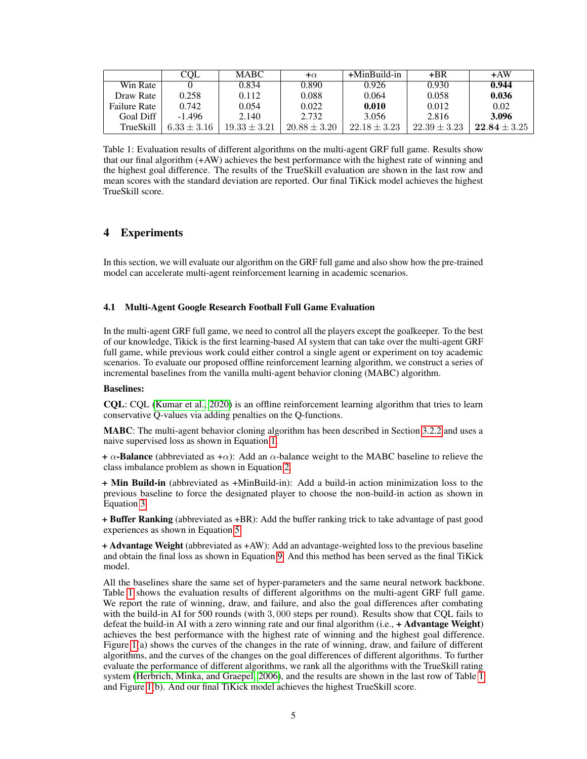<span id="page-4-0"></span>

|                     | <b>COL</b>      | <b>MABC</b>      | $+\alpha$        | +MinBuild-in     | $+BR$            | $+AW$            |
|---------------------|-----------------|------------------|------------------|------------------|------------------|------------------|
| Win Rate            |                 | 0.834            | 0.890            | 0.926            | 0.930            | 0.944            |
| Draw Rate           | 0.258           | 0.112            | 0.088            | 0.064            | 0.058            | 0.036            |
| <b>Failure Rate</b> | 0.742           | 0.054            | 0.022            | 0.010            | 0.012            | 0.02             |
| Goal Diff           | $-1.496$        | 2.140            | 2.732            | 3.056            | 2.816            | 3.096            |
| TrueSkill           | $6.33 \pm 3.16$ | $19.33 \pm 3.21$ | $20.88 \pm 3.20$ | $22.18 \pm 3.23$ | $22.39 \pm 3.23$ | $22.84 \pm 3.25$ |

Table 1: Evaluation results of different algorithms on the multi-agent GRF full game. Results show that our final algorithm (+AW) achieves the best performance with the highest rate of winning and the highest goal difference. The results of the TrueSkill evaluation are shown in the last row and mean scores with the standard deviation are reported. Our final TiKick model achieves the highest TrueSkill score.

## 4 Experiments

In this section, we will evaluate our algorithm on the GRF full game and also show how the pre-trained model can accelerate multi-agent reinforcement learning in academic scenarios.

#### 4.1 Multi-Agent Google Research Football Full Game Evaluation

In the multi-agent GRF full game, we need to control all the players except the goalkeeper. To the best of our knowledge, Tikick is the first learning-based AI system that can take over the multi-agent GRF full game, while previous work could either control a single agent or experiment on toy academic scenarios. To evaluate our proposed offline reinforcement learning algorithm, we construct a series of incremental baselines from the vanilla multi-agent behavior cloning (MABC) algorithm.

#### Baselines:

CQL: CQL [\(Kumar et al., 2020\)](#page-7-14) is an offline reinforcement learning algorithm that tries to learn conservative Q-values via adding penalties on the Q-functions.

MABC: The multi-agent behavior cloning algorithm has been described in Section [3.2.2](#page-2-0) and uses a naive supervised loss as shown in Equation [1.](#page-3-0)

+  $\alpha$ -Balance (abbreviated as + $\alpha$ ): Add an  $\alpha$ -balance weight to the MABC baseline to relieve the class imbalance problem as shown in Equation [2.](#page-3-1)

+ Min Build-in (abbreviated as +MinBuild-in): Add a build-in action minimization loss to the previous baseline to force the designated player to choose the non-build-in action as shown in Equation [3.](#page-3-2)

+ Buffer Ranking (abbreviated as +BR): Add the buffer ranking trick to take advantage of past good experiences as shown in Equation [5.](#page-3-3)

+ Advantage Weight (abbreviated as +AW): Add an advantage-weighted loss to the previous baseline and obtain the final loss as shown in Equation [9.](#page-3-4) And this method has been served as the final TiKick model.

All the baselines share the same set of hyper-parameters and the same neural network backbone. Table [1](#page-4-0) shows the evaluation results of different algorithms on the multi-agent GRF full game. We report the rate of winning, draw, and failure, and also the goal differences after combating with the build-in AI for 500 rounds (with 3, 000 steps per round). Results show that CQL fails to defeat the build-in AI with a zero winning rate and our final algorithm (i.e.,  $+$  Advantage Weight) achieves the best performance with the highest rate of winning and the highest goal difference. Figure [1\(](#page-5-0)a) shows the curves of the changes in the rate of winning, draw, and failure of different algorithms, and the curves of the changes on the goal differences of different algorithms. To further evaluate the performance of different algorithms, we rank all the algorithms with the TrueSkill rating system [\(Herbrich, Minka, and Graepel, 2006\)](#page-7-15), and the results are shown in the last row of Table [1](#page-4-0) and Figure [1\(](#page-5-0)b). And our final TiKick model achieves the highest TrueSkill score.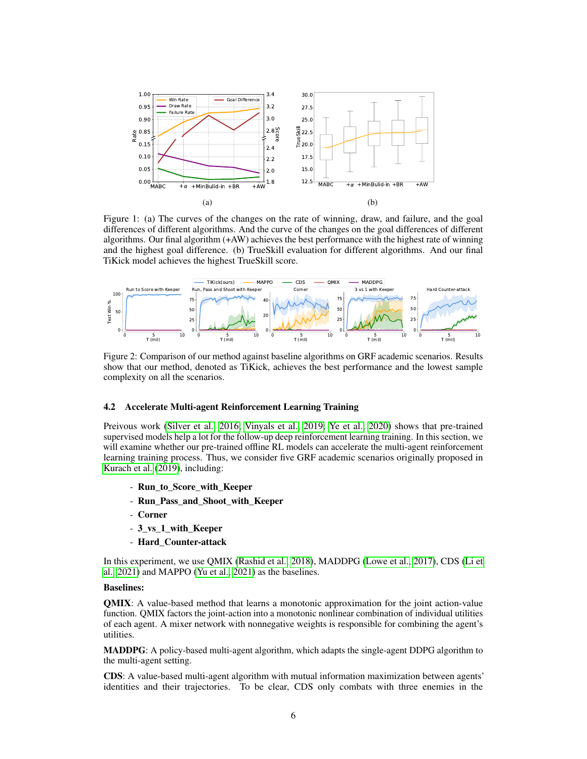<span id="page-5-0"></span>

Figure 1: (a) The curves of the changes on the rate of winning, draw, and failure, and the goal differences of different algorithms. And the curve of the changes on the goal differences of different algorithms. Our final algorithm (+AW) achieves the best performance with the highest rate of winning and the highest goal difference. (b) TrueSkill evaluation for different algorithms. And our final TiKick model achieves the highest TrueSkill score.

<span id="page-5-1"></span>

Figure 2: Comparison of our method against baseline algorithms on GRF academic scenarios. Results show that our method, denoted as TiKick, achieves the best performance and the lowest sample complexity on all the scenarios.

#### 4.2 Accelerate Multi-agent Reinforcement Learning Training

Preivous work [\(Silver et al., 2016;](#page-8-7) [Vinyals et al., 2019;](#page-8-0) [Ye et al., 2020\)](#page-8-8) shows that pre-trained supervised models help a lot for the follow-up deep reinforcement learning training. In this section, we will examine whether our pre-trained offline RL models can accelerate the multi-agent reinforcement learning training process. Thus, we consider five GRF academic scenarios originally proposed in [Kurach et al.](#page-7-3) [\(2019\)](#page-7-3), including:

- Run\_to\_Score\_with\_Keeper
- Run\_Pass\_and\_Shoot\_with\_Keeper
- Corner
- 3\_vs\_1\_with\_Keeper
- Hard\_Counter-attack

In this experiment, we use QMIX [\(Rashid et al., 2018\)](#page-7-1), MADDPG [\(Lowe et al., 2017\)](#page-7-16), CDS [\(Li et](#page-7-4) [al., 2021\)](#page-7-4) and MAPPO [\(Yu et al., 2021\)](#page-8-1) as the baselines.

#### Baselines:

QMIX: A value-based method that learns a monotonic approximation for the joint action-value function. QMIX factors the joint-action into a monotonic nonlinear combination of individual utilities of each agent. A mixer network with nonnegative weights is responsible for combining the agent's utilities.

MADDPG: A policy-based multi-agent algorithm, which adapts the single-agent DDPG algorithm to the multi-agent setting.

CDS: A value-based multi-agent algorithm with mutual information maximization between agents' identities and their trajectories. To be clear, CDS only combats with three enemies in the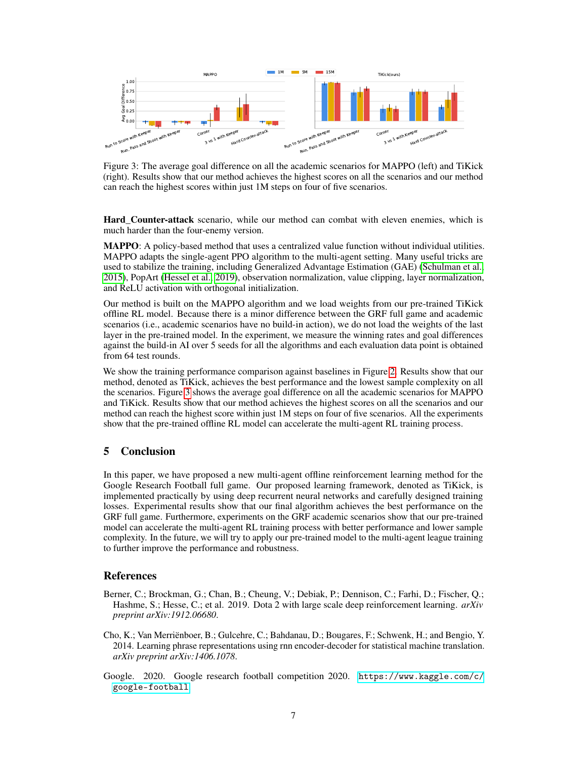<span id="page-6-3"></span>

Figure 3: The average goal difference on all the academic scenarios for MAPPO (left) and TiKick (right). Results show that our method achieves the highest scores on all the scenarios and our method can reach the highest scores within just 1M steps on four of five scenarios.

Hard Counter-attack scenario, while our method can combat with eleven enemies, which is much harder than the four-enemy version.

MAPPO: A policy-based method that uses a centralized value function without individual utilities. MAPPO adapts the single-agent PPO algorithm to the multi-agent setting. Many useful tricks are used to stabilize the training, including Generalized Advantage Estimation (GAE) [\(Schulman et al.,](#page-7-17) [2015\)](#page-7-17), PopArt [\(Hessel et al., 2019\)](#page-7-18), observation normalization, value clipping, layer normalization, and ReLU activation with orthogonal initialization.

Our method is built on the MAPPO algorithm and we load weights from our pre-trained TiKick offline RL model. Because there is a minor difference between the GRF full game and academic scenarios (i.e., academic scenarios have no build-in action), we do not load the weights of the last layer in the pre-trained model. In the experiment, we measure the winning rates and goal differences against the build-in AI over 5 seeds for all the algorithms and each evaluation data point is obtained from 64 test rounds.

We show the training performance comparison against baselines in Figure [2.](#page-5-1) Results show that our method, denoted as TiKick, achieves the best performance and the lowest sample complexity on all the scenarios. Figure [3](#page-6-3) shows the average goal difference on all the academic scenarios for MAPPO and TiKick. Results show that our method achieves the highest scores on all the scenarios and our method can reach the highest score within just 1M steps on four of five scenarios. All the experiments show that the pre-trained offline RL model can accelerate the multi-agent RL training process.

## 5 Conclusion

In this paper, we have proposed a new multi-agent offline reinforcement learning method for the Google Research Football full game. Our proposed learning framework, denoted as TiKick, is implemented practically by using deep recurrent neural networks and carefully designed training losses. Experimental results show that our final algorithm achieves the best performance on the GRF full game. Furthermore, experiments on the GRF academic scenarios show that our pre-trained model can accelerate the multi-agent RL training process with better performance and lower sample complexity. In the future, we will try to apply our pre-trained model to the multi-agent league training to further improve the performance and robustness.

## References

- <span id="page-6-0"></span>Berner, C.; Brockman, G.; Chan, B.; Cheung, V.; Debiak, P.; Dennison, C.; Farhi, D.; Fischer, Q.; Hashme, S.; Hesse, C.; et al. 2019. Dota 2 with large scale deep reinforcement learning. *arXiv preprint arXiv:1912.06680*.
- <span id="page-6-2"></span>Cho, K.; Van Merriënboer, B.; Gulcehre, C.; Bahdanau, D.; Bougares, F.; Schwenk, H.; and Bengio, Y. 2014. Learning phrase representations using rnn encoder-decoder for statistical machine translation. *arXiv preprint arXiv:1406.1078*.
- <span id="page-6-1"></span>Google. 2020. Google research football competition 2020. [https://www.kaggle.com/c/](https://www.kaggle.com/c/google-football) [google-football](https://www.kaggle.com/c/google-football).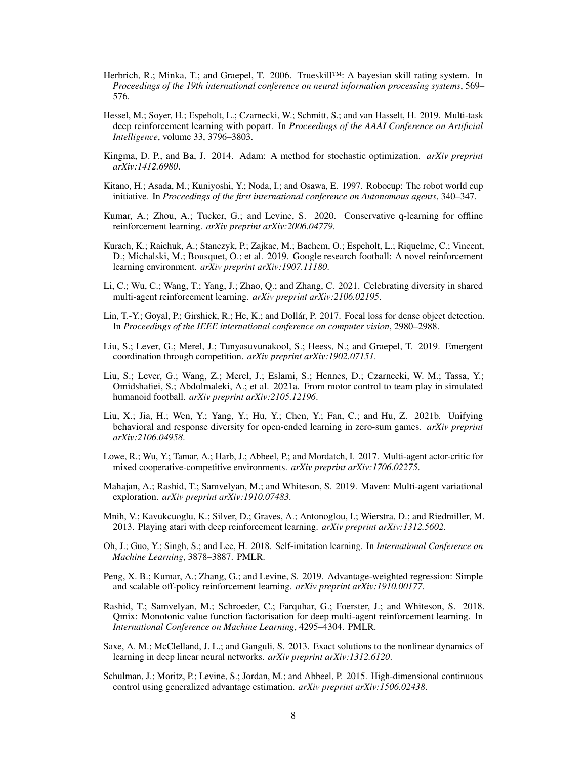- <span id="page-7-15"></span>Herbrich, R.; Minka, T.; and Graepel, T. 2006. Trueskill™: A bayesian skill rating system. In *Proceedings of the 19th international conference on neural information processing systems*, 569– 576.
- <span id="page-7-18"></span>Hessel, M.; Soyer, H.; Espeholt, L.; Czarnecki, W.; Schmitt, S.; and van Hasselt, H. 2019. Multi-task deep reinforcement learning with popart. In *Proceedings of the AAAI Conference on Artificial Intelligence*, volume 33, 3796–3803.
- <span id="page-7-10"></span>Kingma, D. P., and Ba, J. 2014. Adam: A method for stochastic optimization. *arXiv preprint arXiv:1412.6980*.
- <span id="page-7-6"></span>Kitano, H.; Asada, M.; Kuniyoshi, Y.; Noda, I.; and Osawa, E. 1997. Robocup: The robot world cup initiative. In *Proceedings of the first international conference on Autonomous agents*, 340–347.
- <span id="page-7-14"></span>Kumar, A.; Zhou, A.; Tucker, G.; and Levine, S. 2020. Conservative q-learning for offline reinforcement learning. *arXiv preprint arXiv:2006.04779*.
- <span id="page-7-3"></span>Kurach, K.; Raichuk, A.; Stanczyk, P.; Zajkac, M.; Bachem, O.; Espeholt, L.; Riquelme, C.; Vincent, D.; Michalski, M.; Bousquet, O.; et al. 2019. Google research football: A novel reinforcement learning environment. *arXiv preprint arXiv:1907.11180*.
- <span id="page-7-4"></span>Li, C.; Wu, C.; Wang, T.; Yang, J.; Zhao, Q.; and Zhang, C. 2021. Celebrating diversity in shared multi-agent reinforcement learning. *arXiv preprint arXiv:2106.02195*.
- <span id="page-7-11"></span>Lin, T.-Y.; Goyal, P.; Girshick, R.; He, K.; and Dollár, P. 2017. Focal loss for dense object detection. In *Proceedings of the IEEE international conference on computer vision*, 2980–2988.
- <span id="page-7-7"></span>Liu, S.; Lever, G.; Merel, J.; Tunyasuvunakool, S.; Heess, N.; and Graepel, T. 2019. Emergent coordination through competition. *arXiv preprint arXiv:1902.07151*.
- <span id="page-7-8"></span>Liu, S.; Lever, G.; Wang, Z.; Merel, J.; Eslami, S.; Hennes, D.; Czarnecki, W. M.; Tassa, Y.; Omidshafiei, S.; Abdolmaleki, A.; et al. 2021a. From motor control to team play in simulated humanoid football. *arXiv preprint arXiv:2105.12196*.
- <span id="page-7-5"></span>Liu, X.; Jia, H.; Wen, Y.; Yang, Y.; Hu, Y.; Chen, Y.; Fan, C.; and Hu, Z. 2021b. Unifying behavioral and response diversity for open-ended learning in zero-sum games. *arXiv preprint arXiv:2106.04958*.
- <span id="page-7-16"></span>Lowe, R.; Wu, Y.; Tamar, A.; Harb, J.; Abbeel, P.; and Mordatch, I. 2017. Multi-agent actor-critic for mixed cooperative-competitive environments. *arXiv preprint arXiv:1706.02275*.
- <span id="page-7-2"></span>Mahajan, A.; Rashid, T.; Samvelyan, M.; and Whiteson, S. 2019. Maven: Multi-agent variational exploration. *arXiv preprint arXiv:1910.07483*.
- <span id="page-7-0"></span>Mnih, V.; Kavukcuoglu, K.; Silver, D.; Graves, A.; Antonoglou, I.; Wierstra, D.; and Riedmiller, M. 2013. Playing atari with deep reinforcement learning. *arXiv preprint arXiv:1312.5602*.
- <span id="page-7-12"></span>Oh, J.; Guo, Y.; Singh, S.; and Lee, H. 2018. Self-imitation learning. In *International Conference on Machine Learning*, 3878–3887. PMLR.
- <span id="page-7-13"></span>Peng, X. B.; Kumar, A.; Zhang, G.; and Levine, S. 2019. Advantage-weighted regression: Simple and scalable off-policy reinforcement learning. *arXiv preprint arXiv:1910.00177*.
- <span id="page-7-1"></span>Rashid, T.; Samvelyan, M.; Schroeder, C.; Farquhar, G.; Foerster, J.; and Whiteson, S. 2018. Qmix: Monotonic value function factorisation for deep multi-agent reinforcement learning. In *International Conference on Machine Learning*, 4295–4304. PMLR.
- <span id="page-7-9"></span>Saxe, A. M.; McClelland, J. L.; and Ganguli, S. 2013. Exact solutions to the nonlinear dynamics of learning in deep linear neural networks. *arXiv preprint arXiv:1312.6120*.
- <span id="page-7-17"></span>Schulman, J.; Moritz, P.; Levine, S.; Jordan, M.; and Abbeel, P. 2015. High-dimensional continuous control using generalized advantage estimation. *arXiv preprint arXiv:1506.02438*.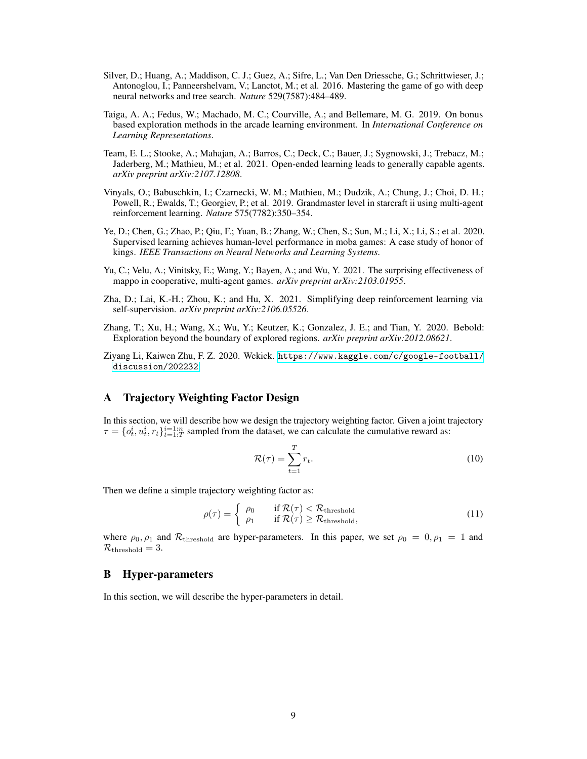- <span id="page-8-7"></span>Silver, D.; Huang, A.; Maddison, C. J.; Guez, A.; Sifre, L.; Van Den Driessche, G.; Schrittwieser, J.; Antonoglou, I.; Panneershelvam, V.; Lanctot, M.; et al. 2016. Mastering the game of go with deep neural networks and tree search. *Nature* 529(7587):484–489.
- <span id="page-8-2"></span>Taiga, A. A.; Fedus, W.; Machado, M. C.; Courville, A.; and Bellemare, M. G. 2019. On bonus based exploration methods in the arcade learning environment. In *International Conference on Learning Representations*.
- <span id="page-8-4"></span>Team, E. L.; Stooke, A.; Mahajan, A.; Barros, C.; Deck, C.; Bauer, J.; Sygnowski, J.; Trebacz, M.; Jaderberg, M.; Mathieu, M.; et al. 2021. Open-ended learning leads to generally capable agents. *arXiv preprint arXiv:2107.12808*.
- <span id="page-8-0"></span>Vinyals, O.; Babuschkin, I.; Czarnecki, W. M.; Mathieu, M.; Dudzik, A.; Chung, J.; Choi, D. H.; Powell, R.; Ewalds, T.; Georgiev, P.; et al. 2019. Grandmaster level in starcraft ii using multi-agent reinforcement learning. *Nature* 575(7782):350–354.
- <span id="page-8-8"></span>Ye, D.; Chen, G.; Zhao, P.; Qiu, F.; Yuan, B.; Zhang, W.; Chen, S.; Sun, M.; Li, X.; Li, S.; et al. 2020. Supervised learning achieves human-level performance in moba games: A case study of honor of kings. *IEEE Transactions on Neural Networks and Learning Systems*.
- <span id="page-8-1"></span>Yu, C.; Velu, A.; Vinitsky, E.; Wang, Y.; Bayen, A.; and Wu, Y. 2021. The surprising effectiveness of mappo in cooperative, multi-agent games. *arXiv preprint arXiv:2103.01955*.
- <span id="page-8-6"></span>Zha, D.; Lai, K.-H.; Zhou, K.; and Hu, X. 2021. Simplifying deep reinforcement learning via self-supervision. *arXiv preprint arXiv:2106.05526*.
- <span id="page-8-3"></span>Zhang, T.; Xu, H.; Wang, X.; Wu, Y.; Keutzer, K.; Gonzalez, J. E.; and Tian, Y. 2020. Bebold: Exploration beyond the boundary of explored regions. *arXiv preprint arXiv:2012.08621*.
- <span id="page-8-5"></span>Ziyang Li, Kaiwen Zhu, F. Z. 2020. Wekick. [https://www.kaggle.com/c/google-football/](https://www.kaggle.com/c/google-football/discussion/202232) [discussion/202232](https://www.kaggle.com/c/google-football/discussion/202232).

## A Trajectory Weighting Factor Design

In this section, we will describe how we design the trajectory weighting factor. Given a joint trajectory  $\tau = \{o_t^i, u_t^i, r_t\}_{t=1:T}^{i=1:n}$  sampled from the dataset, we can calculate the cumulative reward as:

$$
\mathcal{R}(\tau) = \sum_{t=1}^{T} r_t.
$$
\n(10)

Then we define a simple trajectory weighting factor as:

$$
\rho(\tau) = \begin{cases} \rho_0 & \text{if } \mathcal{R}(\tau) < \mathcal{R}_{\text{threshold}} \\ \rho_1 & \text{if } \mathcal{R}(\tau) \ge \mathcal{R}_{\text{threshold}}, \end{cases}
$$
\n(11)

where  $\rho_0$ ,  $\rho_1$  and  $\mathcal{R}_{\text{threshold}}$  are hyper-parameters. In this paper, we set  $\rho_0 = 0$ ,  $\rho_1 = 1$  and  $\mathcal{R}_{\text{threshold}}=3.$ 

## B Hyper-parameters

In this section, we will describe the hyper-parameters in detail.